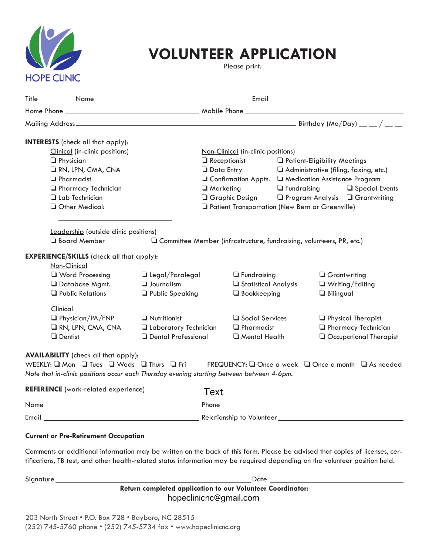

# **VOLUNTEER APPLICATION**

Please print.

| <b>INTERESTS</b> (check all that apply):<br>Clinical (in-clinic positions)<br><b>Physician</b><br><b>EI RN, LPN, CMA, CNA</b><br>$\Box$ Pharmacist<br>Pharmacy Technician<br>Lab Technician<br>Other Medical: |                                                                                                                                                                                                                |                                                            |      | Non-Clinical (in-clinic positions)<br>$\Box$ Receptionist<br>Patient-Eligibility Meetings<br>$\Box$ Data Entry<br>Administrative (filing, faxing, etc.)<br>□ Confirmation Appts. □ Medication Assistance Program<br>Marketing<br>Special Events<br>$\Box$ Fundraising<br>Graphic Design<br>Program Analysis Q Grantwriting<br>Patient Transportation (New Bern or Greenville) |  |                                                                                                                                                                                                                                                            |  |
|---------------------------------------------------------------------------------------------------------------------------------------------------------------------------------------------------------------|----------------------------------------------------------------------------------------------------------------------------------------------------------------------------------------------------------------|------------------------------------------------------------|------|-------------------------------------------------------------------------------------------------------------------------------------------------------------------------------------------------------------------------------------------------------------------------------------------------------------------------------------------------------------------------------|--|------------------------------------------------------------------------------------------------------------------------------------------------------------------------------------------------------------------------------------------------------------|--|
|                                                                                                                                                                                                               | Leadership (outside clinic positions)<br>Board Member                                                                                                                                                          |                                                            |      |                                                                                                                                                                                                                                                                                                                                                                               |  | □ Committee Member (infrastructure, fundraising, volunteers, PR, etc.)                                                                                                                                                                                     |  |
|                                                                                                                                                                                                               | <b>EXPERIENCE/SKILLS</b> (check all that apply):<br>Non-Clinical                                                                                                                                               |                                                            |      |                                                                                                                                                                                                                                                                                                                                                                               |  |                                                                                                                                                                                                                                                            |  |
|                                                                                                                                                                                                               | Word Processing<br>$\Box$ Legal/Paralegal<br>Database Mgmt.<br>$\Box$ Journalism<br>Public Relations<br>Public Speaking                                                                                        |                                                            |      | $\Box$ Fundraising<br>Statistical Analysis<br>Bookkeeping                                                                                                                                                                                                                                                                                                                     |  | $\Box$ Grantwriting<br>$\Box$ Writing/Editing<br>Bilingual                                                                                                                                                                                                 |  |
|                                                                                                                                                                                                               | Clinical<br>$\Box$ Physician/PA/FNP<br>$\Box$ Nutritionist<br>$\Box$ RN, LPN, CMA, CNA<br>Laboratory Technician<br>Dental Professional<br>$\Box$ Dentist                                                       |                                                            |      | Social Services<br>$\Box$ Pharmacist<br>Mental Health                                                                                                                                                                                                                                                                                                                         |  | Physical Therapist<br>Pharmacy Technician<br>Occupational Therapist                                                                                                                                                                                        |  |
|                                                                                                                                                                                                               | <b>AVAILABILITY</b> (check all that apply):<br>WEEKLY: $\Box$ Mon $\Box$ Tues $\Box$ Weds $\Box$ Thurs $\Box$ Fri<br>Note that in-clinic positions occur each Thursday evening starting between between 4-6pm. |                                                            |      |                                                                                                                                                                                                                                                                                                                                                                               |  | FREQUENCY: □ Once a week □ Once a month □ As needed                                                                                                                                                                                                        |  |
|                                                                                                                                                                                                               | <b>REFERENCE</b> (work-related experience)                                                                                                                                                                     |                                                            | Text |                                                                                                                                                                                                                                                                                                                                                                               |  |                                                                                                                                                                                                                                                            |  |
| <u>Example 2001 - Andre De Bronch Phone</u><br>$Name_$                                                                                                                                                        |                                                                                                                                                                                                                |                                                            |      |                                                                                                                                                                                                                                                                                                                                                                               |  |                                                                                                                                                                                                                                                            |  |
|                                                                                                                                                                                                               |                                                                                                                                                                                                                |                                                            |      |                                                                                                                                                                                                                                                                                                                                                                               |  |                                                                                                                                                                                                                                                            |  |
|                                                                                                                                                                                                               |                                                                                                                                                                                                                |                                                            |      |                                                                                                                                                                                                                                                                                                                                                                               |  |                                                                                                                                                                                                                                                            |  |
|                                                                                                                                                                                                               |                                                                                                                                                                                                                |                                                            |      |                                                                                                                                                                                                                                                                                                                                                                               |  | Comments or additional information may be written on the back of this form. Please be advised that copies of licenses, cer-<br>tifications, TB test, and other health-related status information may be required depending on the volunteer position held. |  |
| Signature <u>___________________</u>                                                                                                                                                                          |                                                                                                                                                                                                                |                                                            |      |                                                                                                                                                                                                                                                                                                                                                                               |  |                                                                                                                                                                                                                                                            |  |
|                                                                                                                                                                                                               |                                                                                                                                                                                                                | Return completed application to our Volunteer Coordinator: |      |                                                                                                                                                                                                                                                                                                                                                                               |  |                                                                                                                                                                                                                                                            |  |
|                                                                                                                                                                                                               |                                                                                                                                                                                                                |                                                            |      | hopeclinicnc@gmail.com                                                                                                                                                                                                                                                                                                                                                        |  |                                                                                                                                                                                                                                                            |  |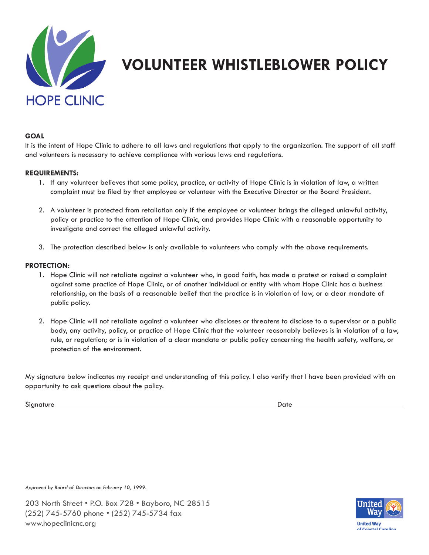

## **VOLUNTEER WHISTLEBLOWER POLICY**

#### **GOAL**

It is the intent of Hope Clinic to adhere to all laws and regulations that apply to the organization. The support of all staff and volunteers is necessary to achieve compliance with various laws and regulations.

### **REQUIREMENTS:**

- 1. If any volunteer believes that some policy, practice, or activity of Hope Clinic is in violation of law, a written complaint must be filed by that employee or volunteer with the Executive Director or the Board President.
- 2. A volunteer is protected from retaliation only if the employee or volunteer brings the alleged unlawful activity, policy or practice to the attention of Hope Clinic, and provides Hope Clinic with a reasonable opportunity to investigate and correct the alleged unlawful activity.
- 3. The protection described below is only available to volunteers who comply with the above requirements.

#### **PROTECTION:**

- 1. Hope Clinic will not retaliate against a volunteer who, in good faith, has made a protest or raised a complaint against some practice of Hope Clinic, or of another individual or entity with whom Hope Clinic has a business relationship, on the basis of a reasonable belief that the practice is in violation of law, or a clear mandate of public policy.
- 2. Hope Clinic will not retaliate against a volunteer who discloses or threatens to disclose to a supervisor or a public body, any activity, policy, or practice of Hope Clinic that the volunteer reasonably believes is in violation of a law, rule, or regulation; or is in violation of a clear mandate or public policy concerning the health safety, welfare, or protection of the environment.

My signature below indicates my receipt and understanding of this policy. I also verify that I have been provided with an opportunity to ask questions about the policy.

Signature Date

*Approved by Board of Directors on February 10, 1999.*



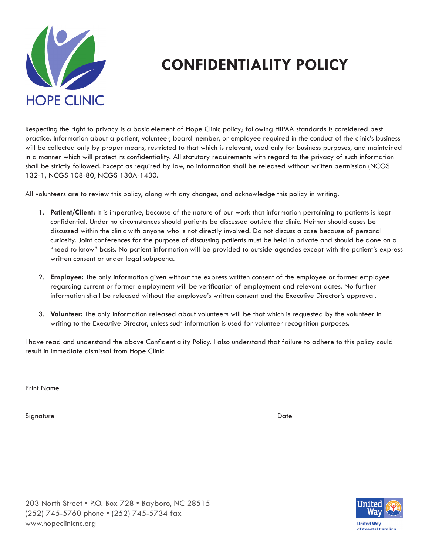

# **CONFIDENTIALITY POLICY**

Respecting the right to privacy is a basic element of Hope Clinic policy; following HIPAA standards is considered best practice. Information about a patient, volunteer, board member, or employee required in the conduct of the clinic's business will be collected only by proper means, restricted to that which is relevant, used only for business purposes, and maintained in a manner which will protect its confidentiality. All statutory requirements with regard to the privacy of such information shall be strictly followed. Except as required by law, no information shall be released without written permission (NCGS 132-1, NCGS 108-80, NCGS 130A-1430.

All volunteers are to review this policy, along with any changes, and acknowledge this policy in writing.

- 1. **Patient/Client:** It is imperative, because of the nature of our work that information pertaining to patients is kept confidential. Under no circumstances should patients be discussed outside the clinic. Neither should cases be discussed within the clinic with anyone who is not directly involved. Do not discuss a case because of personal curiosity. Joint conferences for the purpose of discussing patients must be held in private and should be done on a "need to know" basis. No patient information will be provided to outside agencies except with the patient's express written consent or under legal subpoena.
- 2. **Employee:** The only information given without the express written consent of the employee or former employee regarding current or former employment will be verification of employment and relevant dates. No further information shall be released without the employee's written consent and the Executive Director's approval.
- 3. Volunteer: The only information released about volunteers will be that which is requested by the volunteer in writing to the Executive Director, unless such information is used for volunteer recognition purposes.

I have read and understand the above Confidentiality Policy. I also understand that failure to adhere to this policy could result in immediate dismissal from Hope Clinic.

Print Name

Signature **Executive Contract of Contract Contract Contract Contract Contract Contract Contract Contract Contract Contract Contract Contract Contract Contract Contract Contract Contract Contract Contract Contract Contract** 

203 North Street • P.O. Box 728 • Bayboro, NC 28515 (252) 745-5760 phone • (252) 745-5734 fax www.hopeclinicnc.org